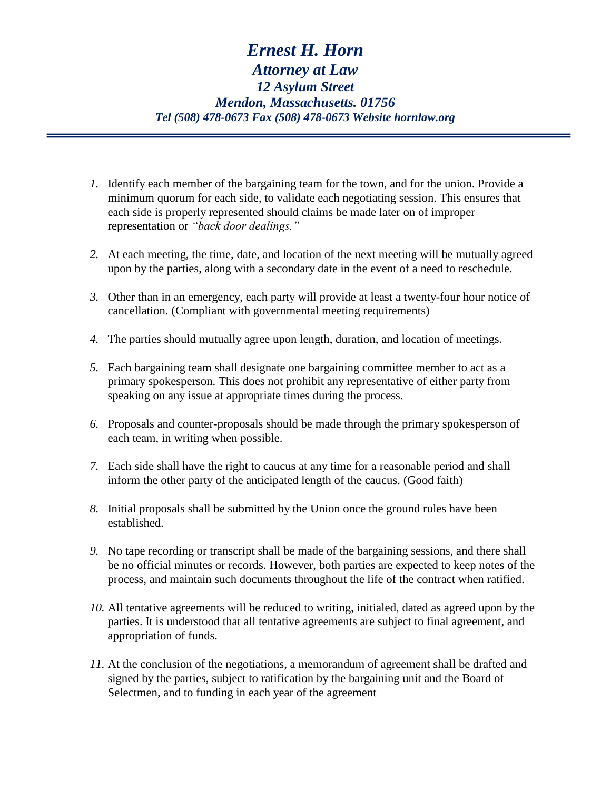- *1.* Identify each member of the bargaining team for the town, and for the union. Provide a minimum quorum for each side, to validate each negotiating session. This ensures that each side is properly represented should claims be made later on of improper representation or *"back door dealings."*
- *2.* At each meeting, the time, date, and location of the next meeting will be mutually agreed upon by the parties, along with a secondary date in the event of a need to reschedule.
- *3.* Other than in an emergency, each party will provide at least a twenty-four hour notice of cancellation. (Compliant with governmental meeting requirements)
- *4.* The parties should mutually agree upon length, duration, and location of meetings.
- *5.* Each bargaining team shall designate one bargaining committee member to act as a primary spokesperson. This does not prohibit any representative of either party from speaking on any issue at appropriate times during the process.
- *6.* Proposals and counter-proposals should be made through the primary spokesperson of each team, in writing when possible.
- *7.* Each side shall have the right to caucus at any time for a reasonable period and shall inform the other party of the anticipated length of the caucus. (Good faith)
- *8.* Initial proposals shall be submitted by the Union once the ground rules have been established.
- *9.* No tape recording or transcript shall be made of the bargaining sessions, and there shall be no official minutes or records. However, both parties are expected to keep notes of the process, and maintain such documents throughout the life of the contract when ratified.
- *10.* All tentative agreements will be reduced to writing, initialed, dated as agreed upon by the parties. It is understood that all tentative agreements are subject to final agreement, and appropriation of funds.
- *11.* At the conclusion of the negotiations, a memorandum of agreement shall be drafted and signed by the parties, subject to ratification by the bargaining unit and the Board of Selectmen, and to funding in each year of the agreement